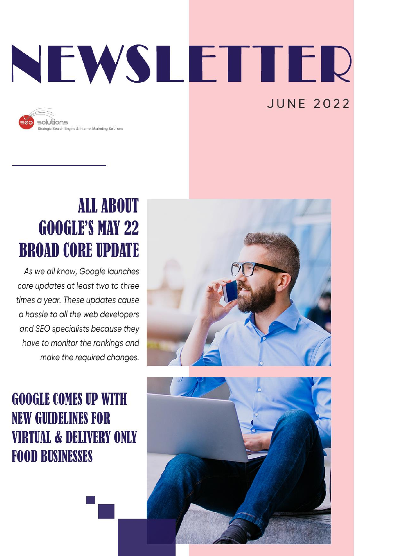# NEWSLETTER **JUNE 2022**



### **ALL ABOUT GOOGLE'S MAY 22 BROAD CORE UPDATE**

As we all know, Google launches core updates at least two to three times a year. These updates cause a hassle to all the web developers and SEO specialists because they have to monitor the rankings and make the required changes.

**GOOGLE COMES UP WITH NEW GUIDELINES FOR VIRTUAL & DELIVERY ONLY FOOD BUSINESSES** 



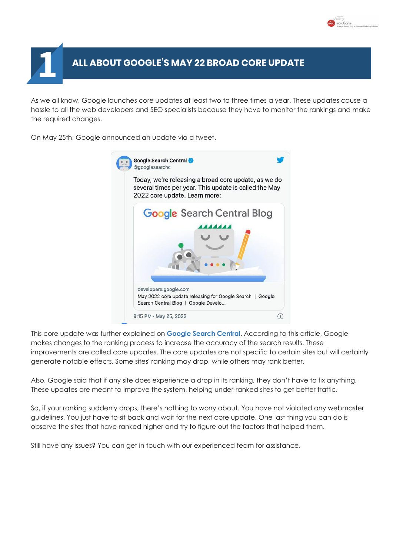

#### **ALL ABOUT GOOGLE'S MAY 22 BROAD CORE UPDATE 1**

As we all know, Google launches core updates at least two to three times a year. These updates cause a hassle to all the web developers and SEO specialists because they have to monitor the rankings and make the required changes.

On May 25th, Google announced an update via a tweet.



This core update was further explained on **[Google](http://developers.google.com/search/blog/2022/05/may-2022-core-update) Search Central**. According to this article, Google makes changes to the ranking process to increase the accuracy of the search results. These improvements are called core updates. The core updates are not specific to certain sites but will certainly generate notable effects. Some sites' ranking may drop, while others may rank better.

Also, Google said that if any site does experience a drop in its ranking, they don't have to fix anything. These updates are meant to improve the system, helping under-ranked sites to get better traffic.

So, if your ranking suddenly drops, there's nothing to worry about. You have not violated any webmaster guidelines. You just have to sit back and wait for the next core update. One last thing you can do is observe the sites that have ranked higher and try to figure out the factors that helped them.

Still have any issues? You can get in touch with our experienced team for assistance.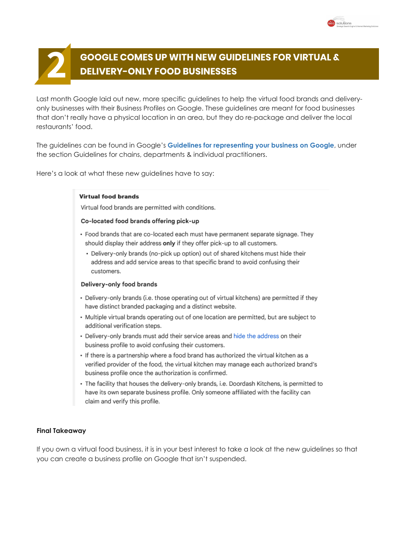

## **GOOGLE COMES UP WITH NEW GUIDELINES FOR VIRTUAL & 2 DELIVERY-ONLY FOOD BUSINESSES**

 $ch$  Hoose

Last month Google laid out new, more specific guidelines to help the virtual food brands and deliveryonly businesses with their Business Profiles on Google. These guidelines are meant for food businesses that don't really have a physical location in an area, but they do re-package and deliver the local restaurants' food.

The guidelines can be found in Google's **Guidelines for [representing](https://support.google.com/business/answer/3038177#zippy=%2Cchains-brands) your business on Google**, under the section Guidelines for chains, departments & individual practitioners.

Here's a look at what these new guidelines have to say:

#### Virtual food brande

Virtual food brands are permitted with conditions.

#### Co-located food brands offering pick-up

- · Food brands that are co-located each must have permanent separate signage. They should display their address only if they offer pick-up to all customers.
	- Delivery-only brands (no-pick up option) out of shared kitchens must hide their address and add service areas to that specific brand to avoid confusing their customers.

#### Delivery-only food brands

- Delivery-only brands (i.e. those operating out of virtual kitchens) are permitted if they have distinct branded packaging and a distinct website.
- Multiple virtual brands operating out of one location are permitted, but are subject to additional verification steps.
- · Delivery-only brands must add their service areas and hide the address on their business profile to avoid confusing their customers.
- · If there is a partnership where a food brand has authorized the virtual kitchen as a verified provider of the food, the virtual kitchen may manage each authorized brand's business profile once the authorization is confirmed.
- The facility that houses the delivery-only brands, i.e. Doordash Kitchens, is permitted to have its own separate business profile. Only someone affiliated with the facility can claim and verify this profile.

#### **Final Takeaway**

If you own a virtual food business, it is in your best interest to take a look at the new guidelines so that you can create a business profile on Google that isn't suspended.